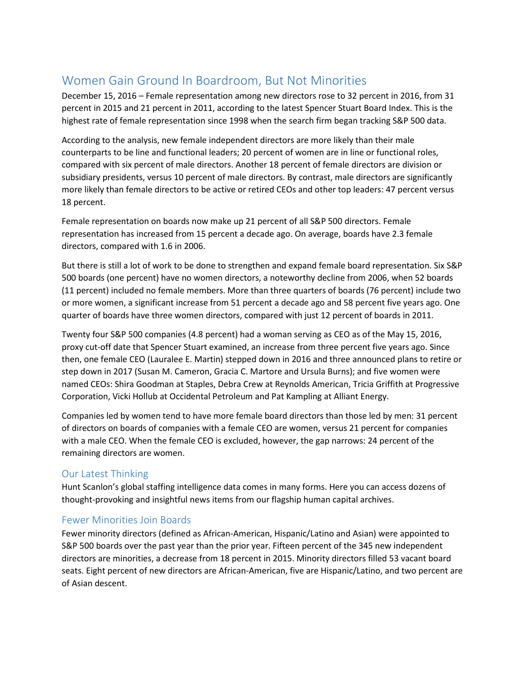# Women Gain Ground In Boardroom, But Not Minorities

December 15, 2016 – Female representation among new directors rose to 32 percent in 2016, from 31 percent in 2015 and 21 percent in 2011, according to the latest Spencer Stuart Board Index. This is the highest rate of female representation since 1998 when the search firm began tracking S&P 500 data.

According to the analysis, new female independent directors are more likely than their male counterparts to be line and functional leaders; 20 percent of women are in line or functional roles, compared with six percent of male directors. Another 18 percent of female directors are division or subsidiary presidents, versus 10 percent of male directors. By contrast, male directors are significantly more likely than female directors to be active or retired CEOs and other top leaders: 47 percent versus 18 percent.

Female representation on boards now make up 21 percent of all S&P 500 directors. Female representation has increased from 15 percent a decade ago. On average, boards have 2.3 female directors, compared with 1.6 in 2006.

But there is still a lot of work to be done to strengthen and expand female board representation. Six S&P 500 boards (one percent) have no women directors, a noteworthy decline from 2006, when 52 boards (11 percent) included no female members. More than three quarters of boards (76 percent) include two or more women, a significant increase from 51 percent a decade ago and 58 percent five years ago. One quarter of boards have three women directors, compared with just 12 percent of boards in 2011.

Twenty four S&P 500 companies (4.8 percent) had a woman serving as CEO as of the May 15, 2016, proxy cut-off date that Spencer Stuart examined, an increase from three percent five years ago. Since then, one female CEO (Lauralee E. Martin) stepped down in 2016 and three announced plans to retire or step down in 2017 (Susan M. Cameron, Gracia C. Martore and Ursula Burns); and five women were named CEOs: Shira Goodman at Staples, Debra Crew at Reynolds American, Tricia Griffith at Progressive Corporation, Vicki Hollub at Occidental Petroleum and Pat Kampling at Alliant Energy.

Companies led by women tend to have more female board directors than those led by men: 31 percent of directors on boards of companies with a female CEO are women, versus 21 percent for companies with a male CEO. When the female CEO is excluded, however, the gap narrows: 24 percent of the remaining directors are women.

## Our Latest Thinking

Hunt Scanlon's global staffing intelligence data comes in many forms. Here you can access dozens of thought-provoking and insightful news items from our flagship human capital archives.

### Fewer Minorities Join Boards

Fewer minority directors (defined as African-American, Hispanic/Latino and Asian) were appointed to S&P 500 boards over the past year than the prior year. Fifteen percent of the 345 new independent directors are minorities, a decrease from 18 percent in 2015. Minority directors filled 53 vacant board seats. Eight percent of new directors are African-American, five are Hispanic/Latino, and two percent are of Asian descent.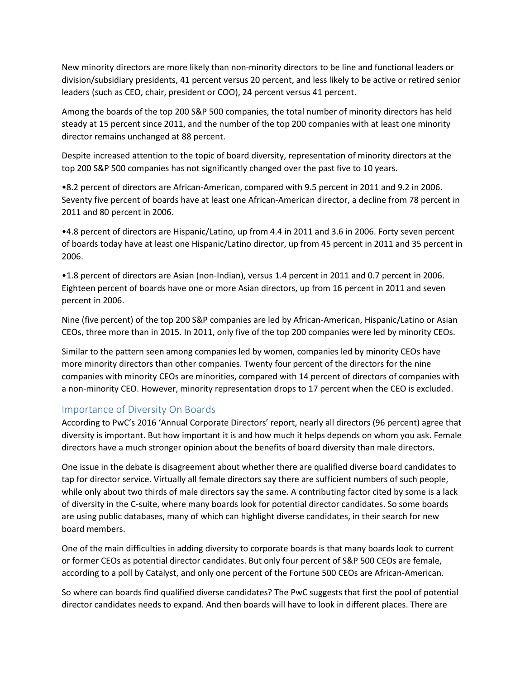New minority directors are more likely than non-minority directors to be line and functional leaders or division/subsidiary presidents, 41 percent versus 20 percent, and less likely to be active or retired senior leaders (such as CEO, chair, president or COO), 24 percent versus 41 percent.

Among the boards of the top 200 S&P 500 companies, the total number of minority directors has held steady at 15 percent since 2011, and the number of the top 200 companies with at least one minority director remains unchanged at 88 percent.

Despite increased attention to the topic of board diversity, representation of minority directors at the top 200 S&P 500 companies has not significantly changed over the past five to 10 years.

•8.2 percent of directors are African-American, compared with 9.5 percent in 2011 and 9.2 in 2006. Seventy five percent of boards have at least one African-American director, a decline from 78 percent in 2011 and 80 percent in 2006.

•4.8 percent of directors are Hispanic/Latino, up from 4.4 in 2011 and 3.6 in 2006. Forty seven percent of boards today have at least one Hispanic/Latino director, up from 45 percent in 2011 and 35 percent in 2006.

•1.8 percent of directors are Asian (non-Indian), versus 1.4 percent in 2011 and 0.7 percent in 2006. Eighteen percent of boards have one or more Asian directors, up from 16 percent in 2011 and seven percent in 2006.

Nine (five percent) of the top 200 S&P companies are led by African-American, Hispanic/Latino or Asian CEOs, three more than in 2015. In 2011, only five of the top 200 companies were led by minority CEOs.

Similar to the pattern seen among companies led by women, companies led by minority CEOs have more minority directors than other companies. Twenty four percent of the directors for the nine companies with minority CEOs are minorities, compared with 14 percent of directors of companies with a non-minority CEO. However, minority representation drops to 17 percent when the CEO is excluded.

#### Importance of Diversity On Boards

According to PwC's 2016 'Annual Corporate Directors' report, nearly all directors (96 percent) agree that diversity is important. But how important it is and how much it helps depends on whom you ask. Female directors have a much stronger opinion about the benefits of board diversity than male directors.

One issue in the debate is disagreement about whether there are qualified diverse board candidates to tap for director service. Virtually all female directors say there are sufficient numbers of such people, while only about two thirds of male directors say the same. A contributing factor cited by some is a lack of diversity in the C-suite, where many boards look for potential director candidates. So some boards are using public databases, many of which can highlight diverse candidates, in their search for new board members.

One of the main difficulties in adding diversity to corporate boards is that many boards look to current or former CEOs as potential director candidates. But only four percent of S&P 500 CEOs are female, according to a poll by Catalyst, and only one percent of the Fortune 500 CEOs are African-American.

So where can boards find qualified diverse candidates? The PwC suggests that first the pool of potential director candidates needs to expand. And then boards will have to look in different places. There are